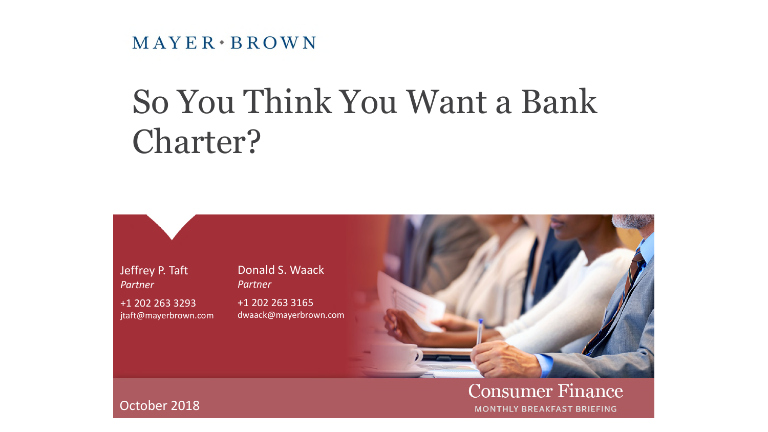$MAYER*BROWN$ 

# So You Think You Want a Bank Charter?



**Consumer Finance MONTHLY BREAKFAST BRIEFING** 

October 2018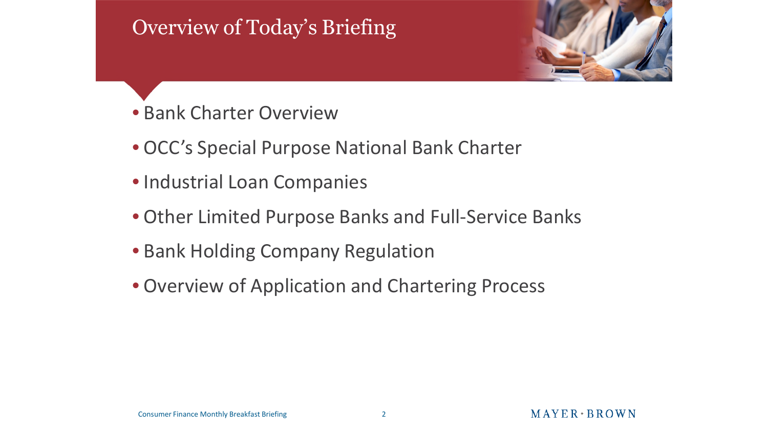# Overview of Today's Briefing



- Bank Charter Overview
- OCC's Special Purpose National Bank Charter
- Industrial Loan Companies
- Other Limited Purpose Banks and Full-Service Banks
- Bank Holding Company Regulation
- Overview of Application and Chartering Process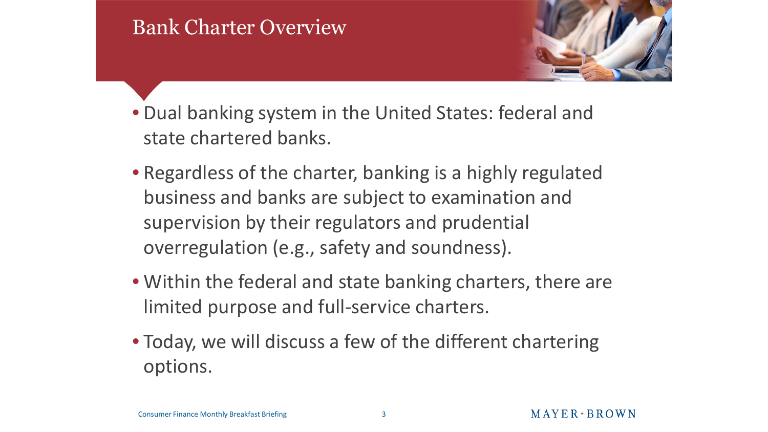#### Bank Charter Overview



- Dual banking system in the United States: federal and state chartered banks.
- Regardless of the charter, banking is a highly regulated business and banks are subject to examination and supervision by their regulators and prudential overregulation (e.g., safety and soundness).
- Within the federal and state banking charters, there are limited purpose and full-service charters.
- Today, we will discuss a few of the different chartering options.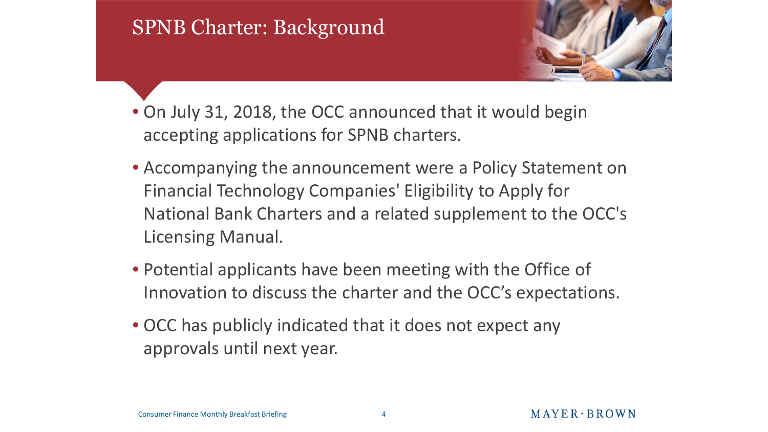# SPNB Charter: Background



- On July 31, 2018, the OCC announced that it would begin accepting applications for SPNB charters.
- Accompanying the announcement were a Policy Statement on Financial Technology Companies' Eligibility to Apply for National Bank Charters and a related supplement to the OCC's Licensing Manual.
- Potential applicants have been meeting with the Office of Innovation to discuss the charter and the OCC's expectations.
- OCC has publicly indicated that it does not expect any approvals until next year.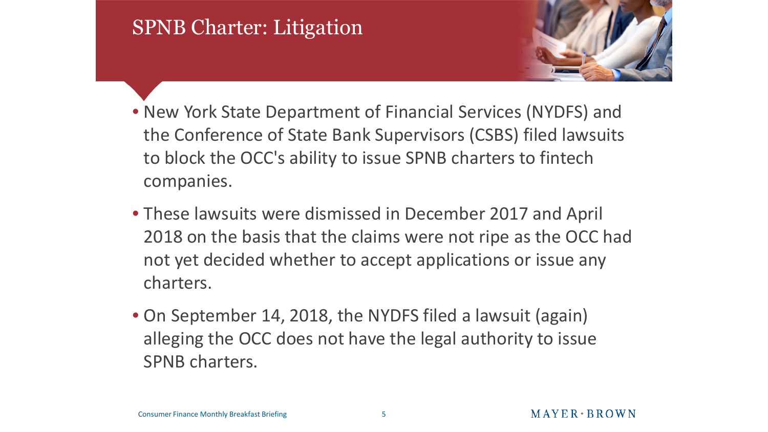# SPNB Charter: Litigation



- New York State Department of Financial Services (NYDFS) and the Conference of State Bank Supervisors (CSBS) filed lawsuits to block the OCC's ability to issue SPNB charters to fintech companies.
- These lawsuits were dismissed in December 2017 and April 2018 on the basis that the claims were not ripe as the OCC had not yet decided whether to accept applications or issue any charters.
- On September 14, 2018, the NYDFS filed a lawsuit (again) alleging the OCC does not have the legal authority to issue SPNB charters.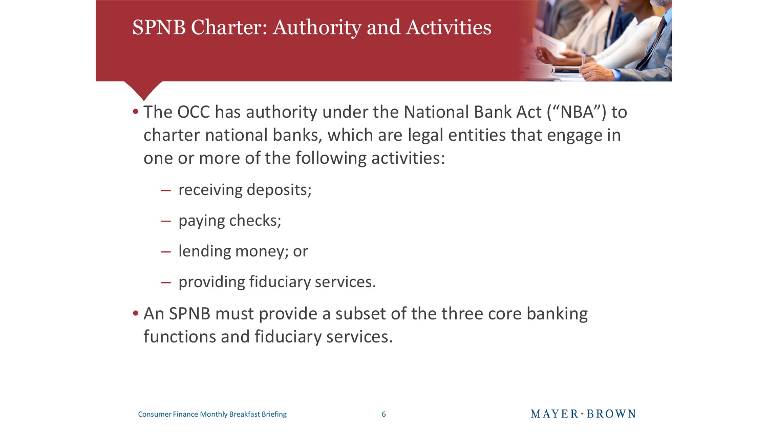# SPNB Charter: Authority and Activities



- The OCC has authority under the National Bank Act ("NBA") to charter national banks, which are legal entities that engage in one or more of the following activities:
	- receiving deposits;
	- paying checks;
	- lending money; or
	- providing fiduciary services.
- An SPNB must provide a subset of the three core banking functions and fiduciary services.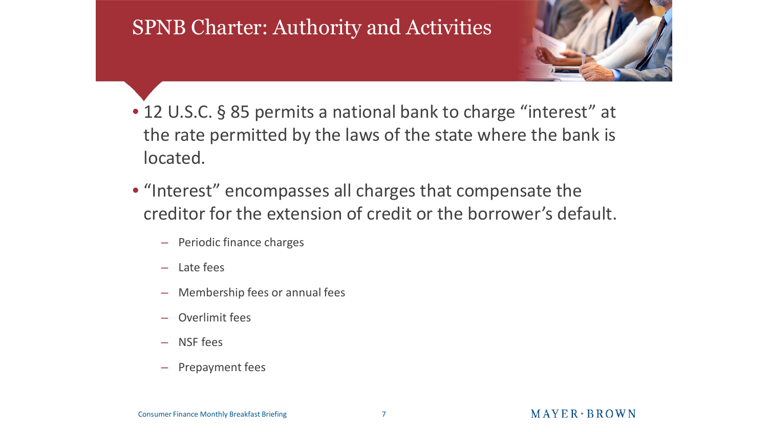#### SPNB Charter: Authority and Activities



- 12 U.S.C. § 85 permits a national bank to charge "interest" at the rate permitted by the laws of the state where the bank is located.
- "Interest" encompasses all charges that compensate the creditor for the extension of credit or the borrower's default.
	- Periodic finance charges
	- Late fees
	- Membership fees or annual fees
	- Overlimit fees
	- NSF fees
	- Prepayment fees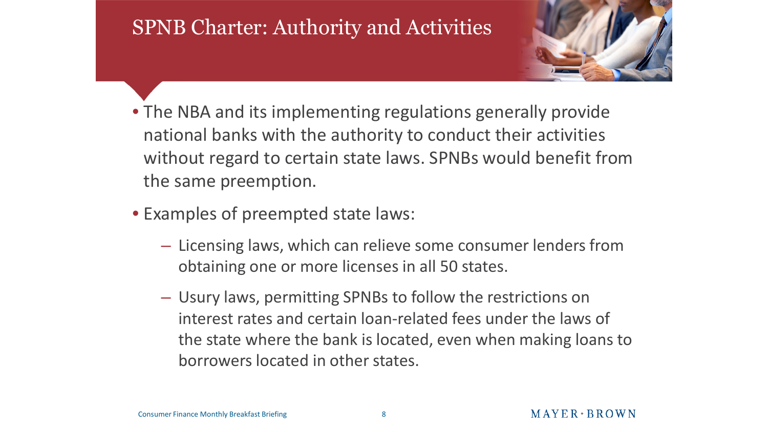#### SPNB Charter: Authority and Activities



- The NBA and its implementing regulations generally provide national banks with the authority to conduct their activities without regard to certain state laws. SPNBs would benefit from the same preemption.
- Examples of preempted state laws:
	- Licensing laws, which can relieve some consumer lenders from obtaining one or more licenses in all 50 states.
	- Usury laws, permitting SPNBs to follow the restrictions on interest rates and certain loan-related fees under the laws of the state where the bank is located, even when making loans to borrowers located in other states.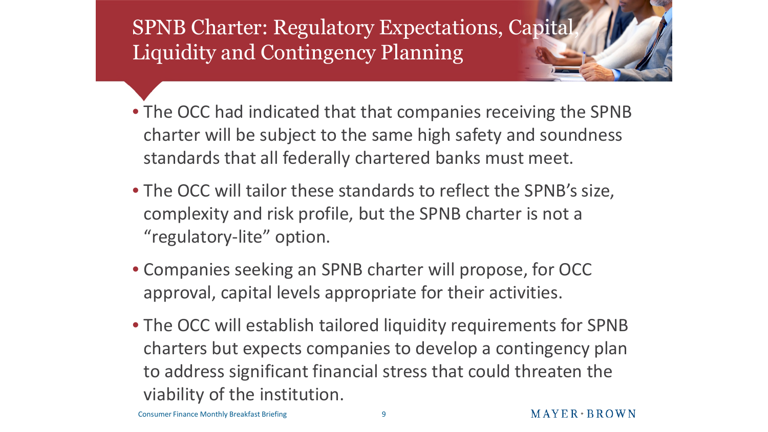SPNB Charter: Regulatory Expectations, Capital, Liquidity and Contingency Planning

- The OCC had indicated that that companies receiving the SPNB charter will be subject to the same high safety and soundness standards that all federally chartered banks must meet.
- The OCC will tailor these standards to reflect the SPNB's size, complexity and risk profile, but the SPNB charter is not a "regulatory-lite" option.
- Companies seeking an SPNB charter will propose, for OCC approval, capital levels appropriate for their activities.
- The OCC will establish tailored liquidity requirements for SPNB charters but expects companies to develop a contingency plan to address significant financial stress that could threaten the viability of the institution.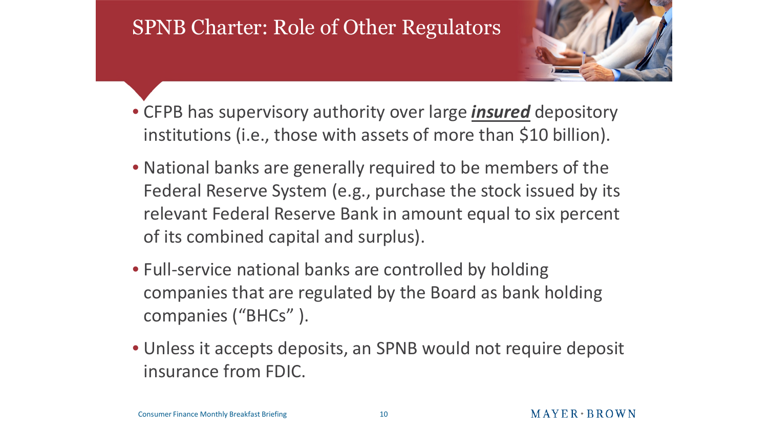#### SPNB Charter: Role of Other Regulators



- CFPB has supervisory authority over large *insured* depository institutions (i.e., those with assets of more than \$10 billion).
- National banks are generally required to be members of the Federal Reserve System (e.g., purchase the stock issued by its relevant Federal Reserve Bank in amount equal to six percent of its combined capital and surplus).
- Full-service national banks are controlled by holding companies that are regulated by the Board as bank holding companies ("BHCs" ).
- Unless it accepts deposits, an SPNB would not require deposit insurance from FDIC.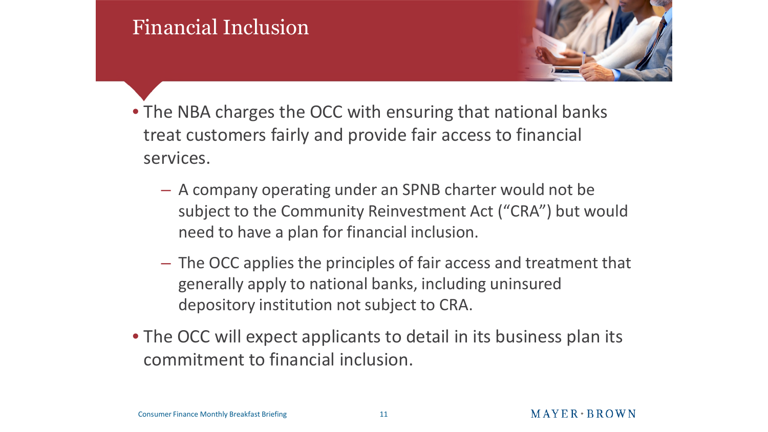#### Financial Inclusion



- The NBA charges the OCC with ensuring that national banks treat customers fairly and provide fair access to financial services.
	- A company operating under an SPNB charter would not be subject to the Community Reinvestment Act ("CRA") but would need to have a plan for financial inclusion.
	- The OCC applies the principles of fair access and treatment that generally apply to national banks, including uninsured depository institution not subject to CRA.
- The OCC will expect applicants to detail in its business plan its commitment to financial inclusion.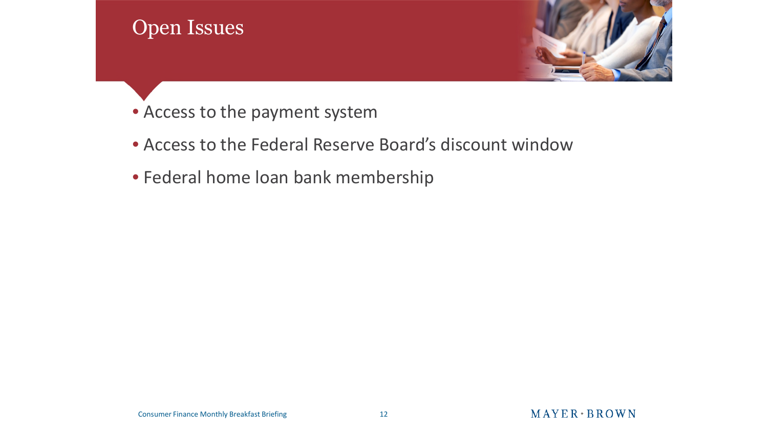

- Access to the payment system
- Access to the Federal Reserve Board's discount window
- Federal home loan bank membership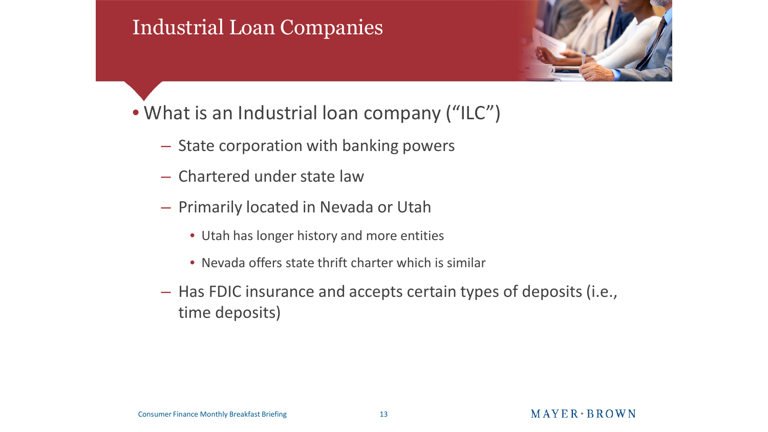#### Industrial Loan Companies



- What is an Industrial loan company ("ILC")
	- State corporation with banking powers
	- Chartered under state law
	- Primarily located in Nevada or Utah
		- Utah has longer history and more entities
		- Nevada offers state thrift charter which is similar
	- Has FDIC insurance and accepts certain types of deposits (i.e., time deposits)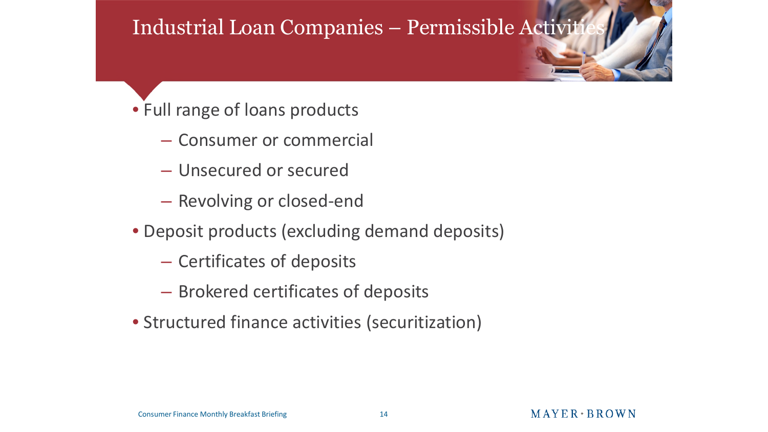#### Industrial Loan Companies – Permissible Activit

- Full range of loans products
	- Consumer or commercial
	- Unsecured or secured
	- Revolving or closed-end
- Deposit products (excluding demand deposits)
	- Certificates of deposits
	- Brokered certificates of deposits
- Structured finance activities (securitization)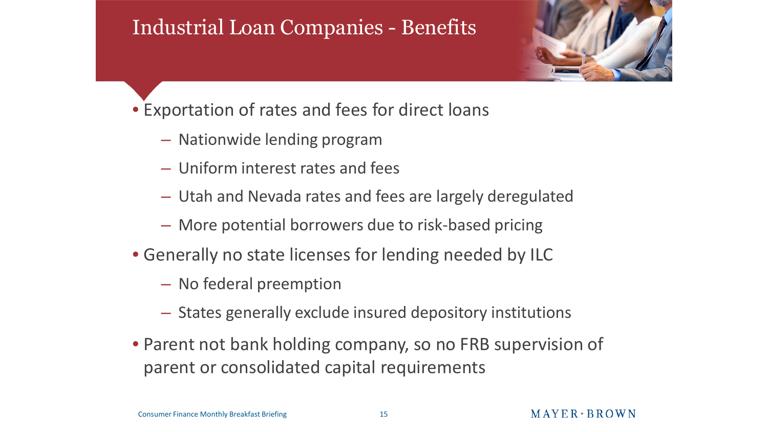#### Industrial Loan Companies - Benefits



- Exportation of rates and fees for direct loans
	- Nationwide lending program
	- Uniform interest rates and fees
	- Utah and Nevada rates and fees are largely deregulated
	- More potential borrowers due to risk-based pricing
- Generally no state licenses for lending needed by ILC
	- No federal preemption
	- States generally exclude insured depository institutions
- Parent not bank holding company, so no FRB supervision of parent or consolidated capital requirements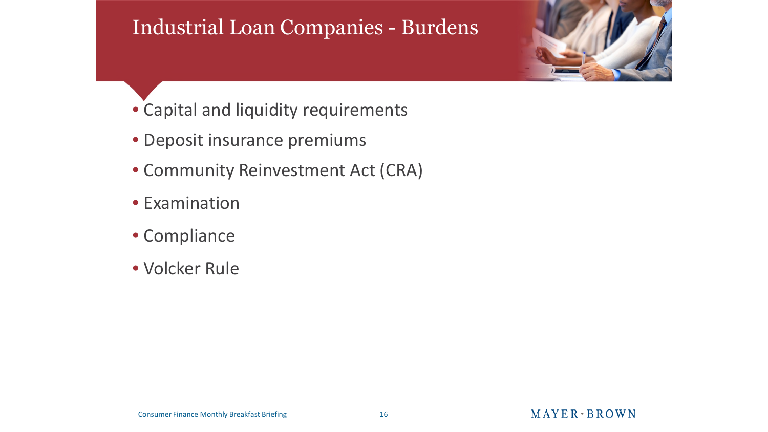#### Industrial Loan Companies - Burdens



- Capital and liquidity requirements
- Deposit insurance premiums
- Community Reinvestment Act (CRA)
- Examination
- Compliance
- Volcker Rule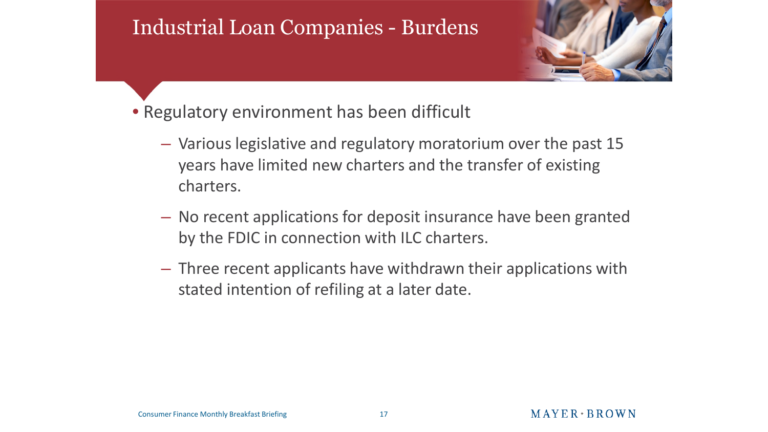#### Industrial Loan Companies - Burdens



- Regulatory environment has been difficult
	- Various legislative and regulatory moratorium over the past 15 years have limited new charters and the transfer of existing charters.
	- No recent applications for deposit insurance have been granted by the FDIC in connection with ILC charters.
	- Three recent applicants have withdrawn their applications with stated intention of refiling at a later date.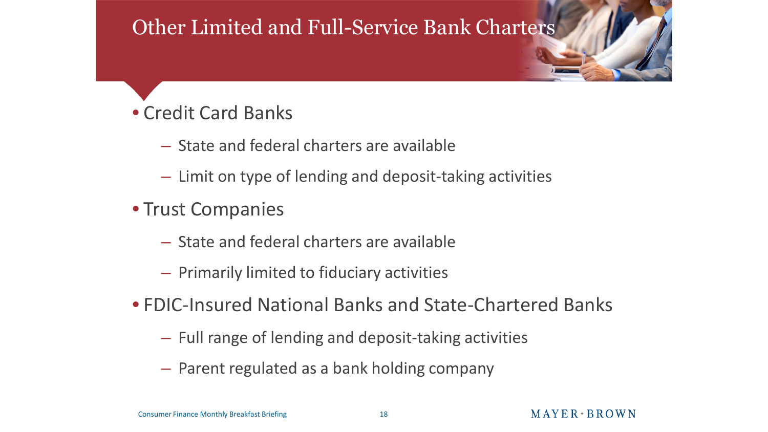#### Other Limited and Full-Service Bank Charters

#### • Credit Card Banks

- State and federal charters are available
- Limit on type of lending and deposit-taking activities
- Trust Companies
	- State and federal charters are available
	- Primarily limited to fiduciary activities
- FDIC-Insured National Banks and State-Chartered Banks
	- Full range of lending and deposit-taking activities
	- Parent regulated as a bank holding company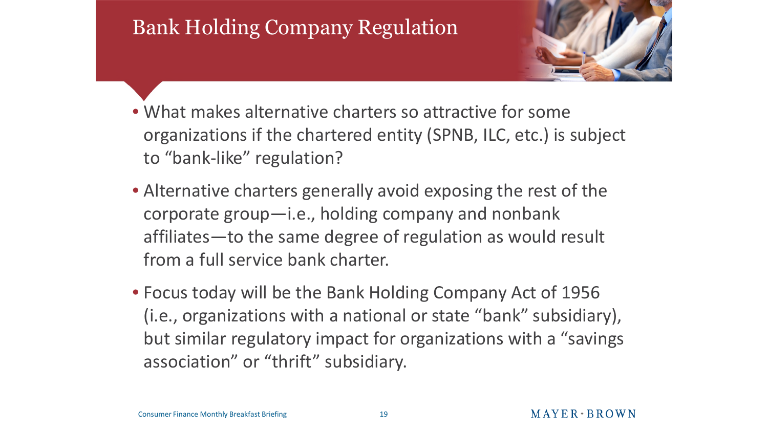

- What makes alternative charters so attractive for some organizations if the chartered entity (SPNB, ILC, etc.) is subject to "bank-like" regulation?
- Alternative charters generally avoid exposing the rest of the corporate group—i.e., holding company and nonbank affiliates—to the same degree of regulation as would result from a full service bank charter.
- Focus today will be the Bank Holding Company Act of 1956 (i.e., organizations with a national or state "bank" subsidiary), but similar regulatory impact for organizations with a "savings association" or "thrift" subsidiary.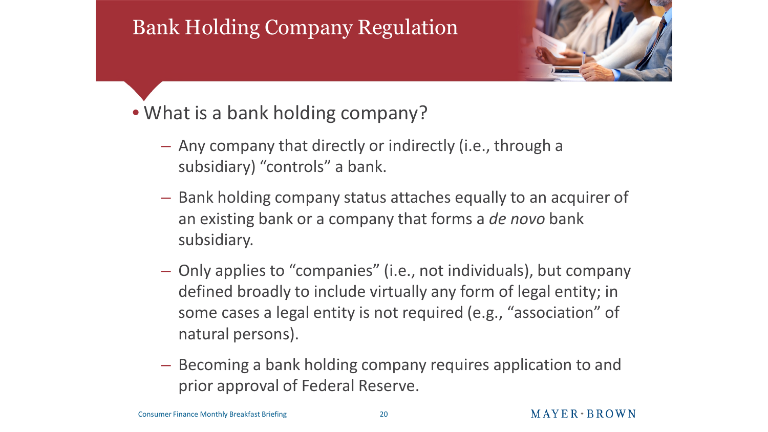

- What is a bank holding company?
	- Any company that directly or indirectly (i.e., through a subsidiary) "controls" a bank.
	- Bank holding company status attaches equally to an acquirer of an existing bank or a company that forms a *de novo* bank subsidiary.
	- Only applies to "companies" (i.e., not individuals), but company defined broadly to include virtually any form of legal entity; in some cases a legal entity is not required (e.g., "association" of natural persons).
	- Becoming a bank holding company requires application to and prior approval of Federal Reserve.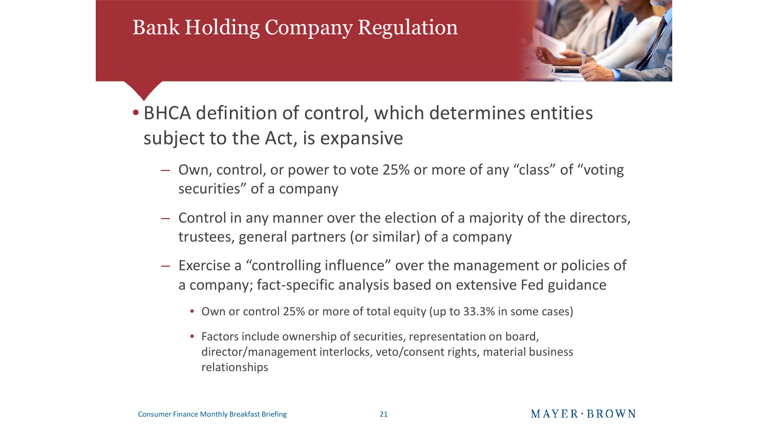

- BHCA definition of control, which determines entities subject to the Act, is expansive
	- Own, control, or power to vote 25% or more of any "class" of "voting securities" of a company
	- Control in any manner over the election of a majority of the directors, trustees, general partners (or similar) of a company
	- Exercise a "controlling influence" over the management or policies of a company; fact-specific analysis based on extensive Fed guidance
		- Own or control 25% or more of total equity (up to 33.3% in some cases)
		- Factors include ownership of securities, representation on board, director/management interlocks, veto/consent rights, material business relationships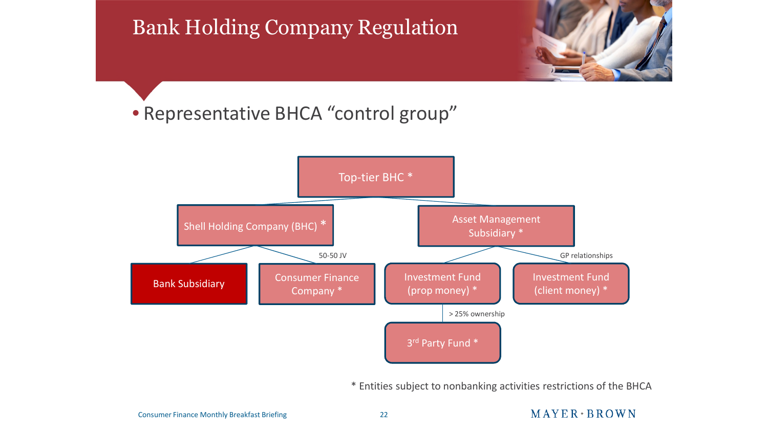

#### • Representative BHCA "control group"



\* Entities subject to nonbanking activities restrictions of the BHCA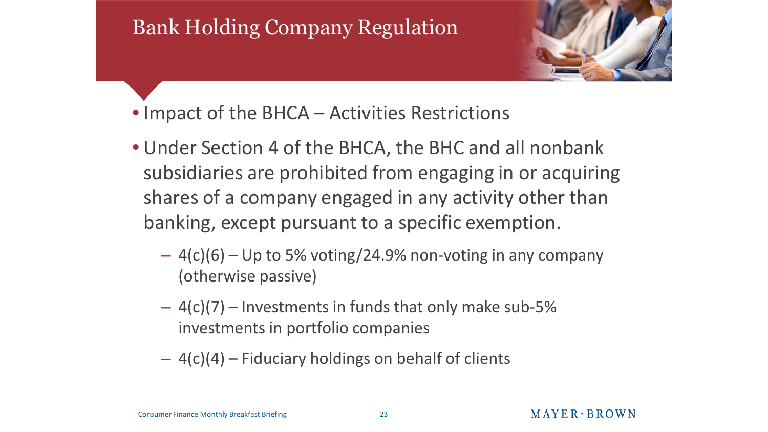

- Impact of the BHCA Activities Restrictions
- Under Section 4 of the BHCA, the BHC and all nonbank subsidiaries are prohibited from engaging in or acquiring shares of a company engaged in any activity other than banking, except pursuant to a specific exemption.
	- $-$  4(c)(6) Up to 5% voting/24.9% non-voting in any company (otherwise passive)
	- $-4(c)(7)$  Investments in funds that only make sub-5% investments in portfolio companies
	- $-$  4(c)(4) Fiduciary holdings on behalf of clients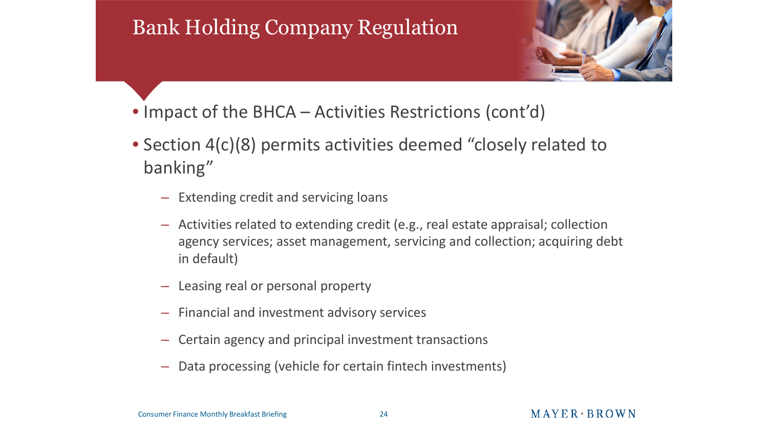

- Impact of the BHCA Activities Restrictions (cont'd)
- Section 4(c)(8) permits activities deemed "closely related to banking"
	- Extending credit and servicing loans
	- Activities related to extending credit (e.g., real estate appraisal; collection agency services; asset management, servicing and collection; acquiring debt in default)
	- Leasing real or personal property
	- Financial and investment advisory services
	- Certain agency and principal investment transactions
	- Data processing (vehicle for certain fintech investments)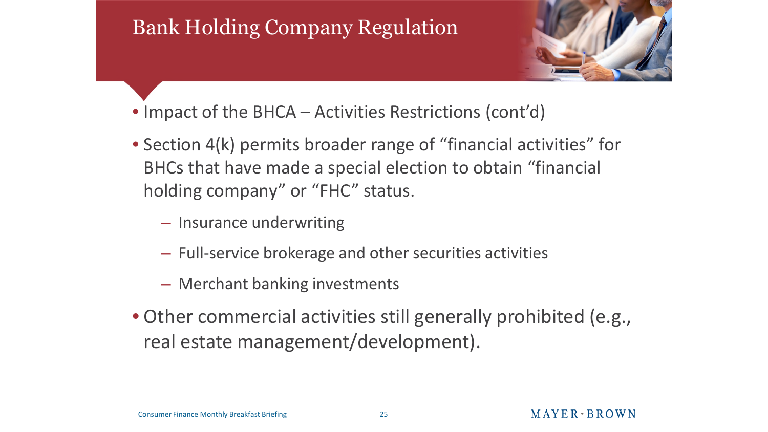

- Impact of the BHCA Activities Restrictions (cont'd)
- Section 4(k) permits broader range of "financial activities" for BHCs that have made a special election to obtain "financial holding company" or "FHC" status.
	- Insurance underwriting
	- Full-service brokerage and other securities activities
	- Merchant banking investments
- Other commercial activities still generally prohibited (e.g., real estate management/development).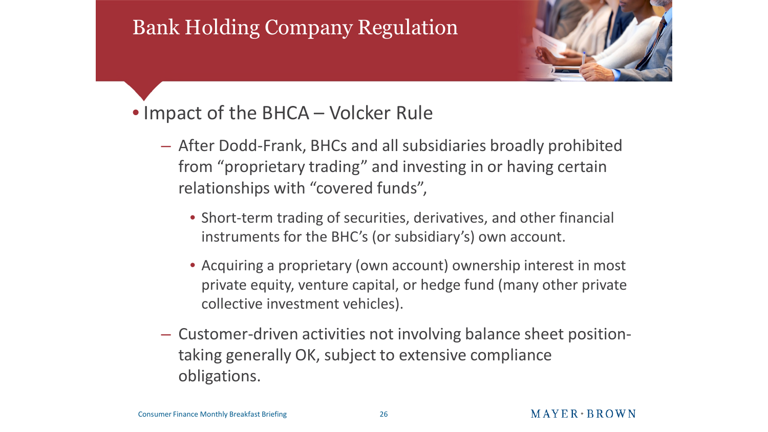

#### • Impact of the BHCA – Volcker Rule

- After Dodd-Frank, BHCs and all subsidiaries broadly prohibited from "proprietary trading" and investing in or having certain relationships with "covered funds",
	- Short-term trading of securities, derivatives, and other financial instruments for the BHC's (or subsidiary's) own account.
	- Acquiring a proprietary (own account) ownership interest in most private equity, venture capital, or hedge fund (many other private collective investment vehicles).
- Customer-driven activities not involving balance sheet positiontaking generally OK, subject to extensive compliance obligations.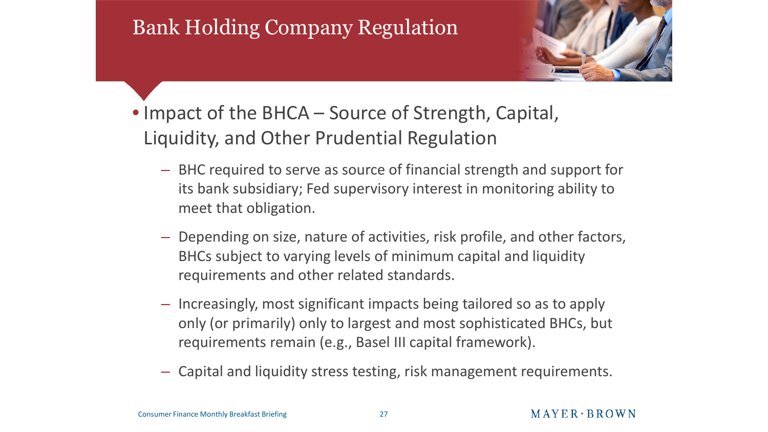

- Impact of the BHCA Source of Strength, Capital, Liquidity, and Other Prudential Regulation
	- BHC required to serve as source of financial strength and support for its bank subsidiary; Fed supervisory interest in monitoring ability to meet that obligation.
	- Depending on size, nature of activities, risk profile, and other factors, BHCs subject to varying levels of minimum capital and liquidity requirements and other related standards.
	- Increasingly, most significant impacts being tailored so as to apply only (or primarily) only to largest and most sophisticated BHCs, but requirements remain (e.g., Basel III capital framework).
	- Capital and liquidity stress testing, risk management requirements.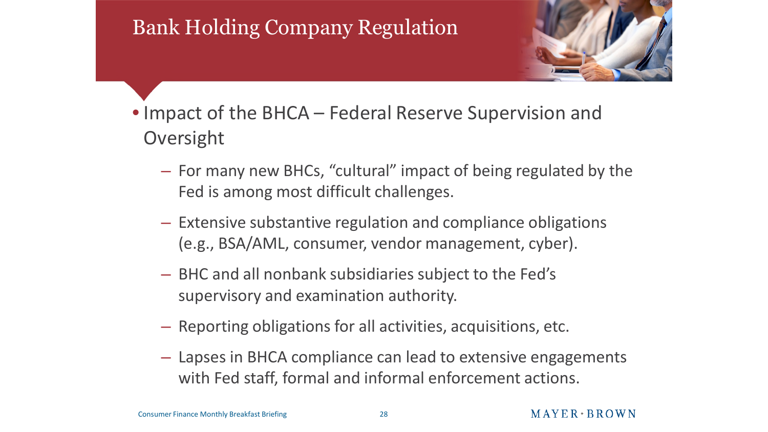

- Impact of the BHCA Federal Reserve Supervision and Oversight
	- For many new BHCs, "cultural" impact of being regulated by the Fed is among most difficult challenges.
	- Extensive substantive regulation and compliance obligations (e.g., BSA/AML, consumer, vendor management, cyber).
	- BHC and all nonbank subsidiaries subject to the Fed's supervisory and examination authority.
	- Reporting obligations for all activities, acquisitions, etc.
	- Lapses in BHCA compliance can lead to extensive engagements with Fed staff, formal and informal enforcement actions.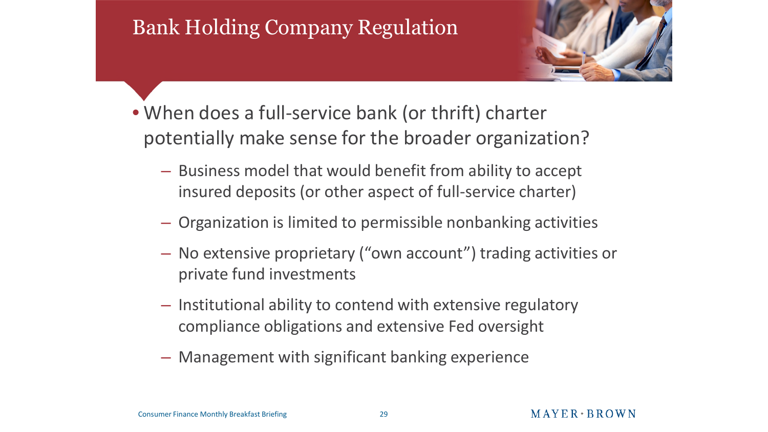

- When does a full-service bank (or thrift) charter potentially make sense for the broader organization?
	- Business model that would benefit from ability to accept insured deposits (or other aspect of full-service charter)
	- Organization is limited to permissible nonbanking activities
	- No extensive proprietary ("own account") trading activities or private fund investments
	- Institutional ability to contend with extensive regulatory compliance obligations and extensive Fed oversight
	- Management with significant banking experience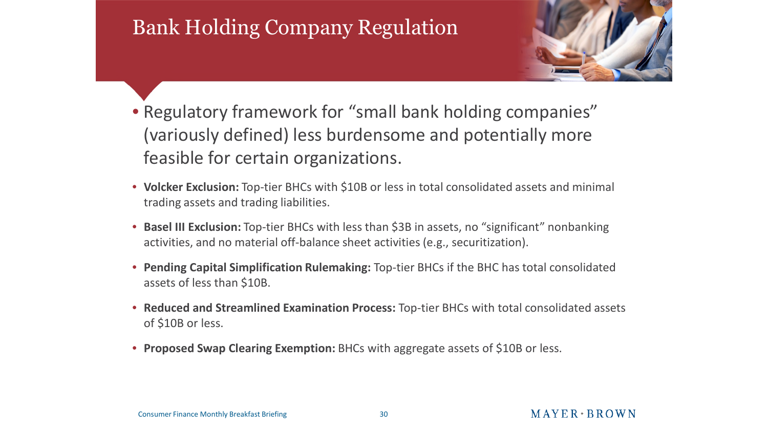

- Regulatory framework for "small bank holding companies" (variously defined) less burdensome and potentially more feasible for certain organizations.
- **Volcker Exclusion:** Top-tier BHCs with \$10B or less in total consolidated assets and minimal trading assets and trading liabilities.
- **Basel III Exclusion:** Top-tier BHCs with less than \$3B in assets, no "significant" nonbanking activities, and no material off-balance sheet activities (e.g., securitization).
- **Pending Capital Simplification Rulemaking:** Top-tier BHCs if the BHC has total consolidated assets of less than \$10B.
- **Reduced and Streamlined Examination Process:** Top-tier BHCs with total consolidated assets of \$10B or less.
- **Proposed Swap Clearing Exemption:** BHCs with aggregate assets of \$10B or less.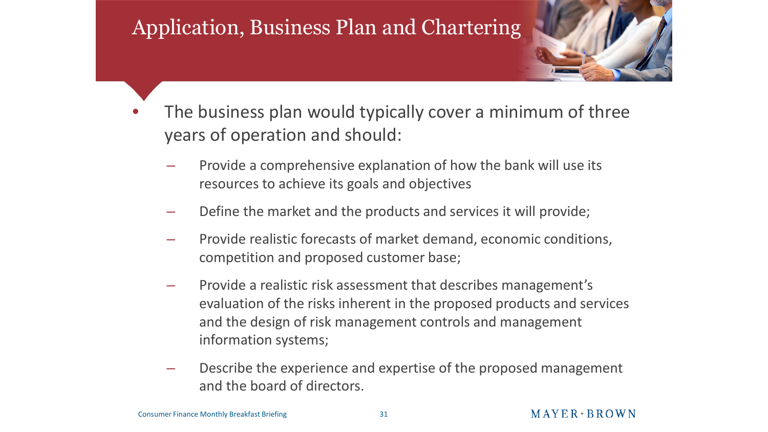#### Application, Business Plan and Chartering



- The business plan would typically cover a minimum of three years of operation and should:
	- Provide a comprehensive explanation of how the bank will use its resources to achieve its goals and objectives
	- Define the market and the products and services it will provide;
	- Provide realistic forecasts of market demand, economic conditions, competition and proposed customer base;
	- Provide a realistic risk assessment that describes management's evaluation of the risks inherent in the proposed products and services and the design of risk management controls and management information systems;
	- Describe the experience and expertise of the proposed management and the board of directors.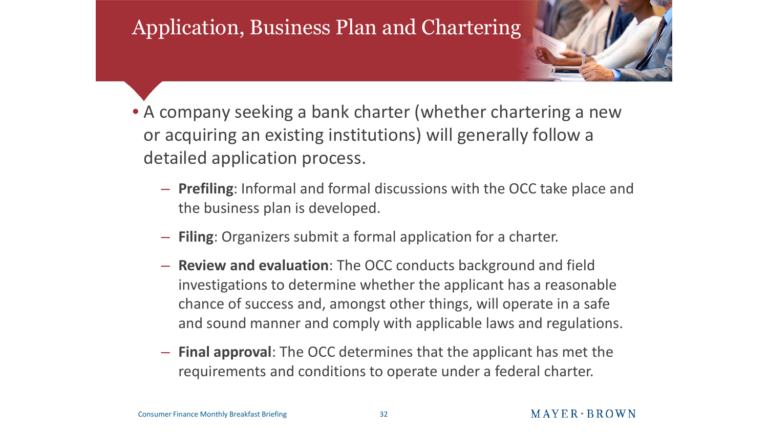#### Application, Business Plan and Chartering



- A company seeking a bank charter (whether chartering a new or acquiring an existing institutions) will generally follow a detailed application process.
	- **Prefiling**: Informal and formal discussions with the OCC take place and the business plan is developed.
	- **Filing**: Organizers submit a formal application for a charter.
	- **Review and evaluation**: The OCC conducts background and field investigations to determine whether the applicant has a reasonable chance of success and, amongst other things, will operate in a safe and sound manner and comply with applicable laws and regulations.
	- **Final approval**: The OCC determines that the applicant has met the requirements and conditions to operate under a federal charter.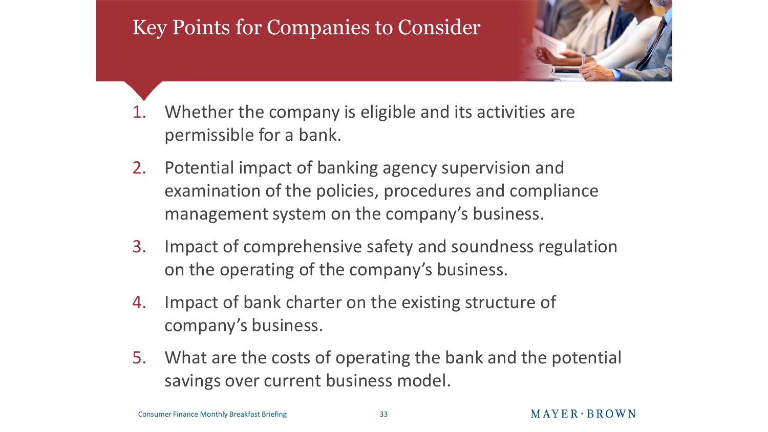#### Key Points for Companies to Consider



- 1. Whether the company is eligible and its activities are permissible for a bank.
- 2. Potential impact of banking agency supervision and examination of the policies, procedures and compliance management system on the company's business.
- 3. Impact of comprehensive safety and soundness regulation on the operating of the company's business.
- 4. Impact of bank charter on the existing structure of company's business.
- 5. What are the costs of operating the bank and the potential savings over current business model.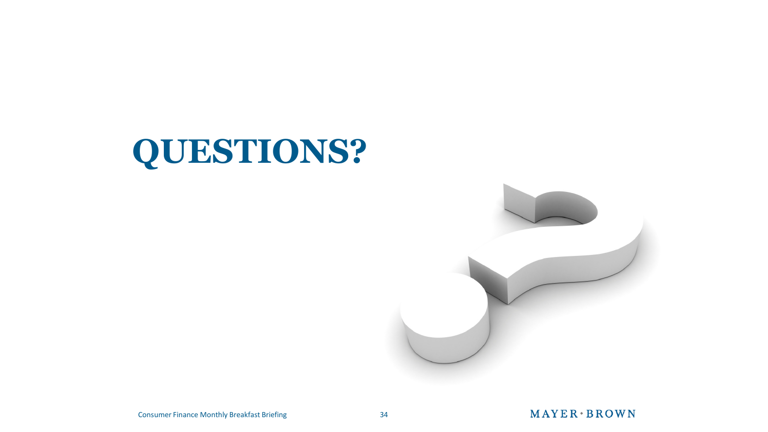# **QUESTIONS?**